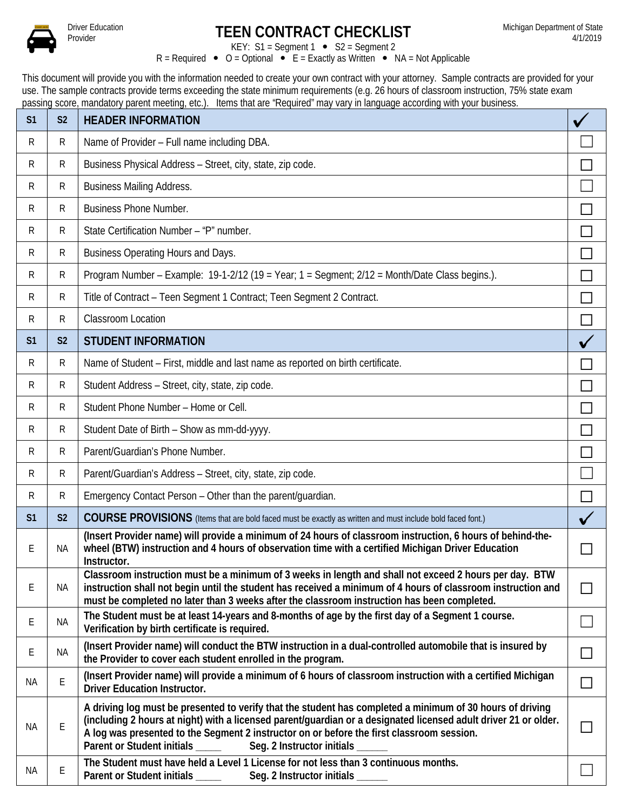

## **Driver Education**<br>Provider

KEY:  $S1 = Segment 1 \cdot S2 = Segment 2$  $R =$  Required  $\bullet$  O = Optional  $\bullet$  E = Exactly as Written  $\bullet$  NA = Not Applicable

This document will provide you with the information needed to create your own contract with your attorney. Sample contracts are provided for your use. The sample contracts provide terms exceeding the state minimum requirements (e.g. 26 hours of classroom instruction, 75% state exam passing score, mandatory parent meeting, etc.). Items that are "Required" may vary in language according with your business.

| S <sub>1</sub> | S <sub>2</sub> | <b>HEADER INFORMATION</b>                                                                                                                                                                                                                                                                                                                                                                    |        |
|----------------|----------------|----------------------------------------------------------------------------------------------------------------------------------------------------------------------------------------------------------------------------------------------------------------------------------------------------------------------------------------------------------------------------------------------|--------|
| R              | R              | Name of Provider - Full name including DBA.                                                                                                                                                                                                                                                                                                                                                  |        |
| R              | $\mathsf{R}$   | Business Physical Address - Street, city, state, zip code.                                                                                                                                                                                                                                                                                                                                   |        |
| R              | $\mathsf{R}$   | <b>Business Mailing Address.</b>                                                                                                                                                                                                                                                                                                                                                             |        |
| R              | $\mathsf{R}$   | <b>Business Phone Number.</b>                                                                                                                                                                                                                                                                                                                                                                |        |
| R              | $\mathsf{R}$   | State Certification Number - "P" number.                                                                                                                                                                                                                                                                                                                                                     |        |
| R              | $\mathsf{R}$   | Business Operating Hours and Days.                                                                                                                                                                                                                                                                                                                                                           |        |
| R              | $\mathsf{R}$   | Program Number – Example: 19-1-2/12 (19 = Year; $1 =$ Segment; $2/12 =$ Month/Date Class begins.).                                                                                                                                                                                                                                                                                           |        |
| R              | $\mathsf{R}$   | Title of Contract - Teen Segment 1 Contract; Teen Segment 2 Contract.                                                                                                                                                                                                                                                                                                                        |        |
| R              | R              | <b>Classroom Location</b>                                                                                                                                                                                                                                                                                                                                                                    | $\Box$ |
| S <sub>1</sub> | S <sub>2</sub> | <b>STUDENT INFORMATION</b>                                                                                                                                                                                                                                                                                                                                                                   |        |
| R              | $\mathsf{R}$   | Name of Student - First, middle and last name as reported on birth certificate.                                                                                                                                                                                                                                                                                                              |        |
| R              | $\mathsf{R}$   | Student Address - Street, city, state, zip code.                                                                                                                                                                                                                                                                                                                                             |        |
| R              | $\mathsf{R}$   | Student Phone Number - Home or Cell.                                                                                                                                                                                                                                                                                                                                                         |        |
| R              | $\mathsf{R}$   | Student Date of Birth - Show as mm-dd-yyyy.                                                                                                                                                                                                                                                                                                                                                  |        |
| R              | ${\sf R}$      | Parent/Guardian's Phone Number.                                                                                                                                                                                                                                                                                                                                                              |        |
| R              | $\mathsf{R}$   | Parent/Guardian's Address - Street, city, state, zip code.                                                                                                                                                                                                                                                                                                                                   |        |
| R              | $\mathsf{R}$   | Emergency Contact Person - Other than the parent/guardian.                                                                                                                                                                                                                                                                                                                                   |        |
| S <sub>1</sub> | S <sub>2</sub> | COURSE PROVISIONS (Items that are bold faced must be exactly as written and must include bold faced font.)                                                                                                                                                                                                                                                                                   |        |
| Ε              | <b>NA</b>      | (Insert Provider name) will provide a minimum of 24 hours of classroom instruction, 6 hours of behind-the-<br>wheel (BTW) instruction and 4 hours of observation time with a certified Michigan Driver Education<br>Instructor.                                                                                                                                                              |        |
| Ε              | NА             | Classroom instruction must be a minimum of 3 weeks in length and shall not exceed 2 hours per day. BTW<br>instruction shall not begin until the student has received a minimum of 4 hours of classroom instruction and<br>must be completed no later than 3 weeks after the classroom instruction has been completed.                                                                        | $\Box$ |
| Ε              | NA             | The Student must be at least 14-years and 8-months of age by the first day of a Segment 1 course.<br>Verification by birth certificate is required.                                                                                                                                                                                                                                          |        |
| Ε              | <b>NA</b>      | (Insert Provider name) will conduct the BTW instruction in a dual-controlled automobile that is insured by<br>the Provider to cover each student enrolled in the program.                                                                                                                                                                                                                    | $\Box$ |
| ΝA             | E              | (Insert Provider name) will provide a minimum of 6 hours of classroom instruction with a certified Michigan<br><b>Driver Education Instructor.</b>                                                                                                                                                                                                                                           | $\Box$ |
| ΝA             | E              | A driving log must be presented to verify that the student has completed a minimum of 30 hours of driving<br>(including 2 hours at night) with a licensed parent/guardian or a designated licensed adult driver 21 or older.<br>A log was presented to the Segment 2 instructor on or before the first classroom session.<br>Parent or Student initials ____<br>Seg. 2 Instructor initials _ |        |
| ΝA             | Е              | The Student must have held a Level 1 License for not less than 3 continuous months.<br>Parent or Student initials _____<br>Seg. 2 Instructor initials ______                                                                                                                                                                                                                                 |        |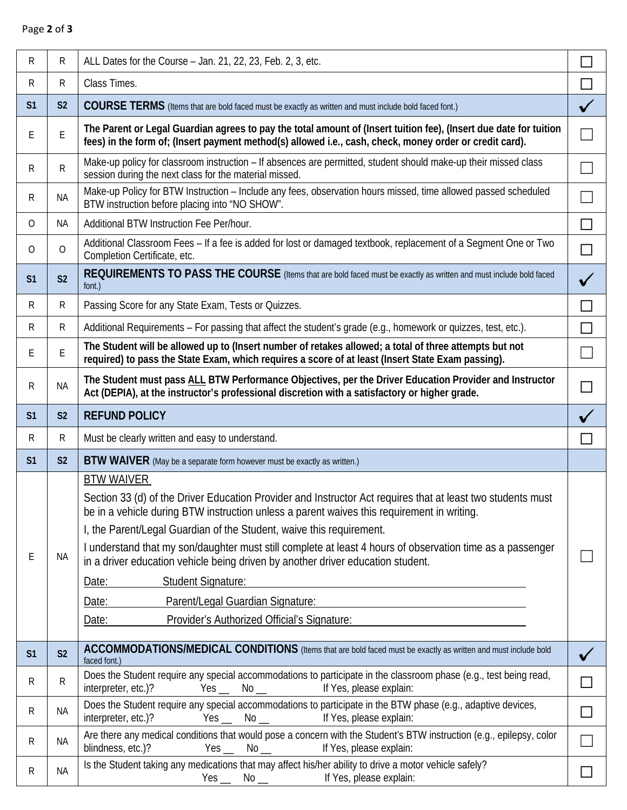## Page **2** of **3**

| R              | R              | ALL Dates for the Course - Jan. 21, 22, 23, Feb. 2, 3, etc.                                                                                                                                                                                                                                                                                                                                                                                                                                                                                                                                                                                       | $\Box$       |
|----------------|----------------|---------------------------------------------------------------------------------------------------------------------------------------------------------------------------------------------------------------------------------------------------------------------------------------------------------------------------------------------------------------------------------------------------------------------------------------------------------------------------------------------------------------------------------------------------------------------------------------------------------------------------------------------------|--------------|
| $\mathsf{R}$   | R              | Class Times.                                                                                                                                                                                                                                                                                                                                                                                                                                                                                                                                                                                                                                      | П            |
| S <sub>1</sub> | S <sub>2</sub> | COURSE TERMS (Items that are bold faced must be exactly as written and must include bold faced font.)                                                                                                                                                                                                                                                                                                                                                                                                                                                                                                                                             | ✓            |
| E              | E              | The Parent or Legal Guardian agrees to pay the total amount of (Insert tuition fee), (Insert due date for tuition<br>fees) in the form of; (Insert payment method(s) allowed i.e., cash, check, money order or credit card).                                                                                                                                                                                                                                                                                                                                                                                                                      |              |
| R              | R              | Make-up policy for classroom instruction – If absences are permitted, student should make-up their missed class<br>session during the next class for the material missed.                                                                                                                                                                                                                                                                                                                                                                                                                                                                         |              |
| R              | <b>NA</b>      | Make-up Policy for BTW Instruction - Include any fees, observation hours missed, time allowed passed scheduled<br>BTW instruction before placing into "NO SHOW".                                                                                                                                                                                                                                                                                                                                                                                                                                                                                  |              |
| 0              | NA             | Additional BTW Instruction Fee Per/hour.                                                                                                                                                                                                                                                                                                                                                                                                                                                                                                                                                                                                          | П            |
| 0              | 0              | Additional Classroom Fees – If a fee is added for lost or damaged textbook, replacement of a Segment One or Two<br>Completion Certificate, etc.                                                                                                                                                                                                                                                                                                                                                                                                                                                                                                   | $\Box$       |
| S <sub>1</sub> | S <sub>2</sub> | REQUIREMENTS TO PASS THE COURSE (Items that are bold faced must be exactly as written and must include bold faced<br>font.)                                                                                                                                                                                                                                                                                                                                                                                                                                                                                                                       |              |
| $\mathsf{R}$   | R              | Passing Score for any State Exam, Tests or Quizzes.                                                                                                                                                                                                                                                                                                                                                                                                                                                                                                                                                                                               | П            |
| $\mathsf{R}$   | R              | Additional Requirements – For passing that affect the student's grade (e.g., homework or quizzes, test, etc.).                                                                                                                                                                                                                                                                                                                                                                                                                                                                                                                                    | П            |
| E              | E              | The Student will be allowed up to (Insert number of retakes allowed; a total of three attempts but not<br>required) to pass the State Exam, which requires a score of at least (Insert State Exam passing).                                                                                                                                                                                                                                                                                                                                                                                                                                       |              |
| R              | <b>NA</b>      | The Student must pass ALL BTW Performance Objectives, per the Driver Education Provider and Instructor<br>Act (DEPIA), at the instructor's professional discretion with a satisfactory or higher grade.                                                                                                                                                                                                                                                                                                                                                                                                                                           | $\Box$       |
| S <sub>1</sub> | S <sub>2</sub> | <b>REFUND POLICY</b>                                                                                                                                                                                                                                                                                                                                                                                                                                                                                                                                                                                                                              |              |
|                |                |                                                                                                                                                                                                                                                                                                                                                                                                                                                                                                                                                                                                                                                   |              |
| R              | R              | Must be clearly written and easy to understand.                                                                                                                                                                                                                                                                                                                                                                                                                                                                                                                                                                                                   | $\mathsf{L}$ |
| S <sub>1</sub> | S <sub>2</sub> | BTW WAIVER (May be a separate form however must be exactly as written.)                                                                                                                                                                                                                                                                                                                                                                                                                                                                                                                                                                           |              |
| E              | <b>NA</b>      | <b>BTW WAIVER</b><br>Section 33 (d) of the Driver Education Provider and Instructor Act requires that at least two students must<br>be in a vehicle during BTW instruction unless a parent waives this requirement in writing.<br>I, the Parent/Legal Guardian of the Student, waive this requirement.<br>I understand that my son/daughter must still complete at least 4 hours of observation time as a passenger<br>in a driver education vehicle being driven by another driver education student.<br>Date:<br><b>Student Signature:</b><br>Parent/Legal Guardian Signature:<br>Date:<br>Provider's Authorized Official's Signature:<br>Date: |              |
| S <sub>1</sub> | S <sub>2</sub> | ACCOMMODATIONS/MEDICAL CONDITIONS (Items that are bold faced must be exactly as written and must include bold                                                                                                                                                                                                                                                                                                                                                                                                                                                                                                                                     |              |
| R              | R              | faced font.)<br>Does the Student require any special accommodations to participate in the classroom phase (e.g., test being read,<br>interpreter, etc.)?<br>If Yes, please explain:<br>Yes $-$                                                                                                                                                                                                                                                                                                                                                                                                                                                    | $\Box$       |
| R              | <b>NA</b>      | $\mathrm{No}$ $\_$<br>Does the Student require any special accommodations to participate in the BTW phase (e.g., adaptive devices,<br>interpreter, etc.)?<br>Yes __ No __ lf Yes, please explain:                                                                                                                                                                                                                                                                                                                                                                                                                                                 | $\Box$       |
| R              | <b>NA</b>      | Are there any medical conditions that would pose a concern with the Student's BTW instruction (e.g., epilepsy, color<br>blindness, etc.)?<br>If Yes, please explain:<br>$Yes \_\_$ $No \_\_$                                                                                                                                                                                                                                                                                                                                                                                                                                                      |              |